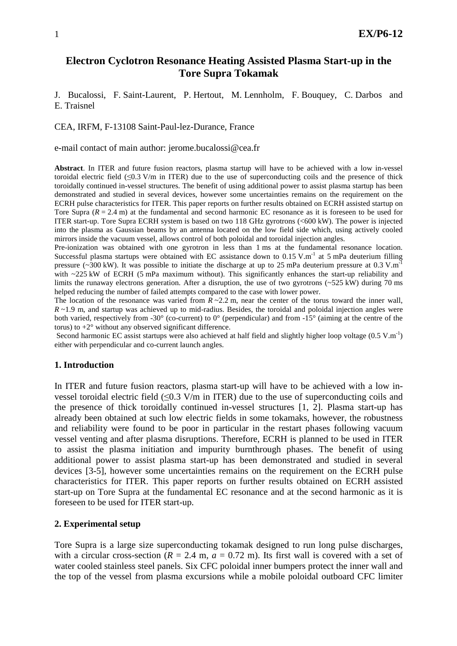# **Electron Cyclotron Resonance Heating Assisted Plasma Start-up in the Tore Supra Tokamak**

J. Bucalossi, F. Saint-Laurent, P. Hertout, M. Lennholm, F. Bouquey, C. Darbos and E. Traisnel

CEA, IRFM, F-13108 Saint-Paul-lez-Durance, France

e-mail contact of main author: jerome.bucalossi@cea.fr

**Abstract**. In ITER and future fusion reactors, plasma startup will have to be achieved with a low in-vessel toroidal electric field (≤0.3 V/m in ITER) due to the use of superconducting coils and the presence of thick toroidally continued in-vessel structures. The benefit of using additional power to assist plasma startup has been demonstrated and studied in several devices, however some uncertainties remains on the requirement on the ECRH pulse characteristics for ITER. This paper reports on further results obtained on ECRH assisted startup on Tore Supra  $(R = 2.4 \text{ m})$  at the fundamental and second harmonic EC resonance as it is foreseen to be used for ITER start-up. Tore Supra ECRH system is based on two 118 GHz gyrotrons (<600 kW). The power is injected into the plasma as Gaussian beams by an antenna located on the low field side which, using actively cooled mirrors inside the vacuum vessel, allows control of both poloidal and toroidal injection angles.

Pre-ionization was obtained with one gyrotron in less than 1 ms at the fundamental resonance location. Successful plasma startups were obtained with EC assistance down to  $0.15$  V.m<sup>-1</sup> at 5 mPa deuterium filling pressure (~300 kW). It was possible to initiate the discharge at up to 25 mPa deuterium pressure at 0.3 V.m<sup>-1</sup> with  $\sim$ 225 kW of ECRH (5 mPa maximum without). This significantly enhances the start-up reliability and limits the runaway electrons generation. After a disruption, the use of two gyrotrons  $(-525 \text{ kW})$  during 70 ms helped reducing the number of failed attempts compared to the case with lower power.

The location of the resonance was varied from  $\overline{R} \sim 2.2$  m, near the center of the torus toward the inner wall, *R* ~1.9 m, and startup was achieved up to mid-radius. Besides, the toroidal and poloidal injection angles were both varied, respectively from -30 $^{\circ}$  (co-current) to 0 $^{\circ}$  (perpendicular) and from -15 $^{\circ}$  (aiming at the centre of the torus) to  $+2^{\circ}$  without any observed significant difference.

Second harmonic EC assist startups were also achieved at half field and slightly higher loop voltage  $(0.5 \text{ V.m}^{-1})$ either with perpendicular and co-current launch angles.

## **1. Introduction**

In ITER and future fusion reactors, plasma start-up will have to be achieved with a low invessel toroidal electric field  $(\leq 0.3 \text{ V/m}$  in ITER) due to the use of superconducting coils and the presence of thick toroidally continued in-vessel structures [1, 2]. Plasma start-up has already been obtained at such low electric fields in some tokamaks, however, the robustness and reliability were found to be poor in particular in the restart phases following vacuum vessel venting and after plasma disruptions. Therefore, ECRH is planned to be used in ITER to assist the plasma initiation and impurity burnthrough phases. The benefit of using additional power to assist plasma start-up has been demonstrated and studied in several devices [3-5], however some uncertainties remains on the requirement on the ECRH pulse characteristics for ITER. This paper reports on further results obtained on ECRH assisted start-up on Tore Supra at the fundamental EC resonance and at the second harmonic as it is foreseen to be used for ITER start-up.

#### **2. Experimental setup**

Tore Supra is a large size superconducting tokamak designed to run long pulse discharges, with a circular cross-section ( $R = 2.4$  m,  $a = 0.72$  m). Its first wall is covered with a set of water cooled stainless steel panels. Six CFC poloidal inner bumpers protect the inner wall and the top of the vessel from plasma excursions while a mobile poloidal outboard CFC limiter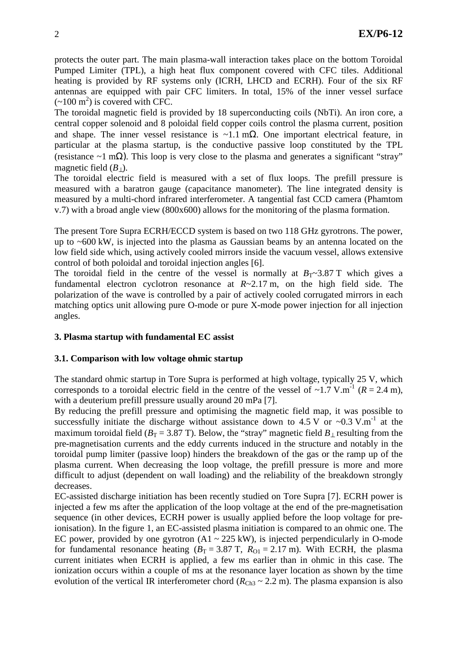protects the outer part. The main plasma-wall interaction takes place on the bottom Toroidal Pumped Limiter (TPL), a high heat flux component covered with CFC tiles. Additional heating is provided by RF systems only (ICRH, LHCD and ECRH). Four of the six RF antennas are equipped with pair CFC limiters. In total, 15% of the inner vessel surface  $(-100 \text{ m}^2)$  is covered with CFC.

The toroidal magnetic field is provided by 18 superconducting coils (NbTi). An iron core, a central copper solenoid and 8 poloidal field copper coils control the plasma current, position and shape. The inner vessel resistance is ~1.1 m $\Omega$ . One important electrical feature, in particular at the plasma startup, is the conductive passive loop constituted by the TPL (resistance ~1 m $\Omega$ ). This loop is very close to the plasma and generates a significant "stray" magnetic field  $(B_+)$ .

The toroidal electric field is measured with a set of flux loops. The prefill pressure is measured with a baratron gauge (capacitance manometer). The line integrated density is measured by a multi-chord infrared interferometer. A tangential fast CCD camera (Phamtom v.7) with a broad angle view (800x600) allows for the monitoring of the plasma formation.

The present Tore Supra ECRH/ECCD system is based on two 118 GHz gyrotrons. The power, up to ~600 kW, is injected into the plasma as Gaussian beams by an antenna located on the low field side which, using actively cooled mirrors inside the vacuum vessel, allows extensive control of both poloidal and toroidal injection angles [6].

The toroidal field in the centre of the vessel is normally at  $B_T \sim 3.87$  T which gives a fundamental electron cyclotron resonance at *R*~2.17 m, on the high field side. The polarization of the wave is controlled by a pair of actively cooled corrugated mirrors in each matching optics unit allowing pure O-mode or pure X-mode power injection for all injection angles.

## **3. Plasma startup with fundamental EC assist**

## **3.1. Comparison with low voltage ohmic startup**

The standard ohmic startup in Tore Supra is performed at high voltage, typically 25 V, which corresponds to a toroidal electric field in the centre of the vessel of  $\sim$ 1.7 V.m<sup>-1</sup> ( $R = 2.4$  m), with a deuterium prefill pressure usually around 20 mPa [7].

By reducing the prefill pressure and optimising the magnetic field map, it was possible to successfully initiate the discharge without assistance down to 4.5 V or ~0.3 V.m<sup>-1</sup> at the maximum toroidal field ( $B_T = 3.87$  T). Below, the "stray" magnetic field  $B_{\perp}$  resulting from the pre-magnetisation currents and the eddy currents induced in the structure and notably in the toroidal pump limiter (passive loop) hinders the breakdown of the gas or the ramp up of the plasma current. When decreasing the loop voltage, the prefill pressure is more and more difficult to adjust (dependent on wall loading) and the reliability of the breakdown strongly decreases.

EC-assisted discharge initiation has been recently studied on Tore Supra [7]. ECRH power is injected a few ms after the application of the loop voltage at the end of the pre-magnetisation sequence (in other devices, ECRH power is usually applied before the loop voltage for preionisation). In the figure 1, an EC-assisted plasma initiation is compared to an ohmic one. The EC power, provided by one gyrotron  $(A1 \sim 225 \text{ kW})$ , is injected perpendicularly in O-mode for fundamental resonance heating  $(B_T = 3.87 \text{ T}, R_{01} = 2.17 \text{ m})$ . With ECRH, the plasma current initiates when ECRH is applied, a few ms earlier than in ohmic in this case. The ionization occurs within a couple of ms at the resonance layer location as shown by the time evolution of the vertical IR interferometer chord  $(R<sub>Ch3</sub> ~ 2.2 m)$ . The plasma expansion is also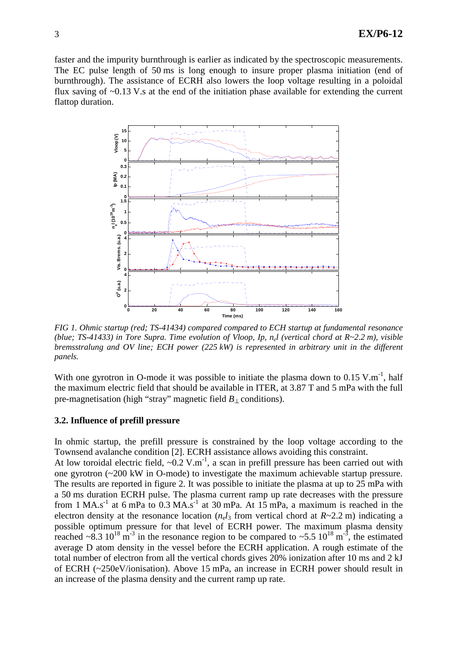faster and the impurity burnthrough is earlier as indicated by the spectroscopic measurements. The EC pulse length of 50 ms is long enough to insure proper plasma initiation (end of burnthrough). The assistance of ECRH also lowers the loop voltage resulting in a poloidal flux saving of ~0.13 V.s at the end of the initiation phase available for extending the current flattop duration.



*FIG 1. Ohmic startup (red; TS-41434) compared compared to ECH startup at fundamental resonance (blue; TS-41433) in Tore Supra. Time evolution of Vloop, Ip, n<sup>e</sup> l (vertical chord at R~2.2 m), visible bremsstralung and OV line; ECH power (225 kW) is represented in arbitrary unit in the different panels.* 

With one gyrotron in O-mode it was possible to initiate the plasma down to  $0.15$  V.m<sup>-1</sup>, half the maximum electric field that should be available in ITER, at 3.87 T and 5 mPa with the full pre-magnetisation (high "stray" magnetic field  $B_{\perp}$  conditions).

## **3.2. Influence of prefill pressure**

In ohmic startup, the prefill pressure is constrained by the loop voltage according to the Townsend avalanche condition [2]. ECRH assistance allows avoiding this constraint.

At low toroidal electric field,  $\sim 0.2$  V.m<sup>-1</sup>, a scan in prefill pressure has been carried out with one gyrotron (~200 kW in O-mode) to investigate the maximum achievable startup pressure. The results are reported in figure 2. It was possible to initiate the plasma at up to 25 mPa with a 50 ms duration ECRH pulse. The plasma current ramp up rate decreases with the pressure from 1 MA.s<sup>-1</sup> at 6 mPa to 0.3 MA.s<sup>-1</sup> at 30 mPa. At  $15$  mPa, a maximum is reached in the electron density at the resonance location  $(n_e l_3)$  from vertical chord at  $R \sim 2.2$  m) indicating a possible optimum pressure for that level of ECRH power. The maximum plasma density reached  $\sim 8.3 \times 10^{18} \text{ m}^{-3}$  in the resonance region to be compared to  $\sim 5.5 \times 10^{18} \text{ m}^{-3}$ , the estimated average D atom density in the vessel before the ECRH application. A rough estimate of the total number of electron from all the vertical chords gives 20% ionization after 10 ms and 2 kJ of ECRH (~250eV/ionisation). Above 15 mPa, an increase in ECRH power should result in an increase of the plasma density and the current ramp up rate.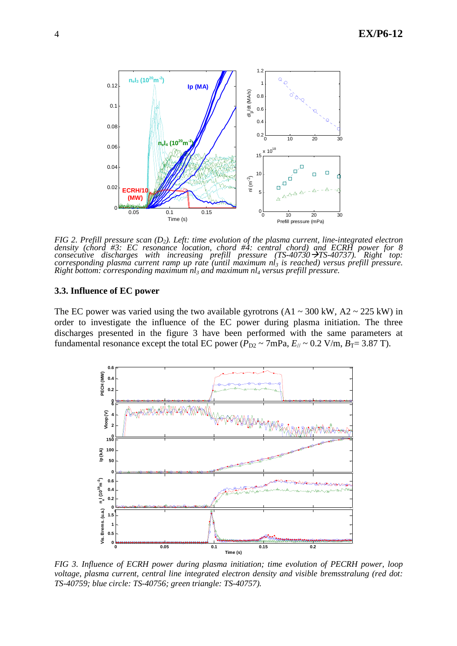

*FIG 2. Prefill pressure scan (D2). Left: time evolution of the plasma current, line-integrated electron*  density (chord #3: EC resonance location, chord #4: central chord) and ECRH power for 8 *consecutive discharges with increasing prefill pressure (TS-40730 >TS-40737). Right top: corresponding plasma current ramp up rate (until maximum nl3 is reached) versus prefill pressure. Right bottom: corresponding maximum nl3 and maximum nl4 versus prefill pressure.* 

#### **3.3. Influence of EC power**

The EC power was varied using the two available gyrotrons  $(A1 \sim 300 \text{ kW}, A2 \sim 225 \text{ kW})$  in order to investigate the influence of the EC power during plasma initiation. The three discharges presented in the figure 3 have been performed with the same parameters at fundamental resonance except the total EC power ( $P_{D2} \sim 7 \text{mPa}$ ,  $E_{\text{N}} \sim 0.2 \text{ V/m}$ ,  $B_T = 3.87 \text{ T}$ ).



*FIG 3. Influence of ECRH power during plasma initiation; time evolution of PECRH power, loop voltage, plasma current, central line integrated electron density and visible bremsstralung (red dot: TS-40759; blue circle: TS-40756; green triangle: TS-40757).*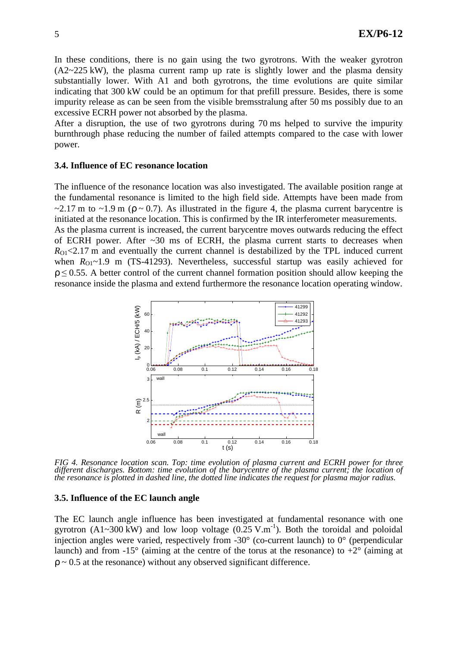In these conditions, there is no gain using the two gyrotrons. With the weaker gyrotron (A2~225 kW), the plasma current ramp up rate is slightly lower and the plasma density substantially lower. With A1 and both gyrotrons, the time evolutions are quite similar indicating that 300 kW could be an optimum for that prefill pressure. Besides, there is some impurity release as can be seen from the visible bremsstralung after 50 ms possibly due to an excessive ECRH power not absorbed by the plasma.

After a disruption, the use of two gyrotrons during 70 ms helped to survive the impurity burnthrough phase reducing the number of failed attempts compared to the case with lower power.

#### **3.4. Influence of EC resonance location**

The influence of the resonance location was also investigated. The available position range at the fundamental resonance is limited to the high field side. Attempts have been made from  $\sim$ 2.17 m to  $\sim$ 1.9 m ( $\rho \sim$  0.7). As illustrated in the figure 4, the plasma current barycentre is initiated at the resonance location. This is confirmed by the IR interferometer measurements. As the plasma current is increased, the current barycentre moves outwards reducing the effect of ECRH power. After  $\sim$ 30 ms of ECRH, the plasma current starts to decreases when  $R_{\rm O1}$ <2.17 m and eventually the current channel is destabilized by the TPL induced current when  $R_{01}$ ~1.9 m (TS-41293). Nevertheless, successful startup was easily achieved for  $\rho \leq 0.55$ . A better control of the current channel formation position should allow keeping the resonance inside the plasma and extend furthermore the resonance location operating window.



*FIG 4. Resonance location scan. Top: time evolution of plasma current and ECRH power for three different discharges. Bottom: time evolution of the barycentre of the plasma current; the location of the resonance is plotted in dashed line, the dotted line indicates the request for plasma major radius.* 

#### **3.5. Influence of the EC launch angle**

The EC launch angle influence has been investigated at fundamental resonance with one gyrotron (A1~300 kW) and low loop voltage  $(0.25 \text{ V.m}^{-1})$ . Both the toroidal and poloidal injection angles were varied, respectively from -30° (co-current launch) to 0° (perpendicular launch) and from  $-15^{\circ}$  (aiming at the centre of the torus at the resonance) to  $+2^{\circ}$  (aiming at  $p \sim 0.5$  at the resonance) without any observed significant difference.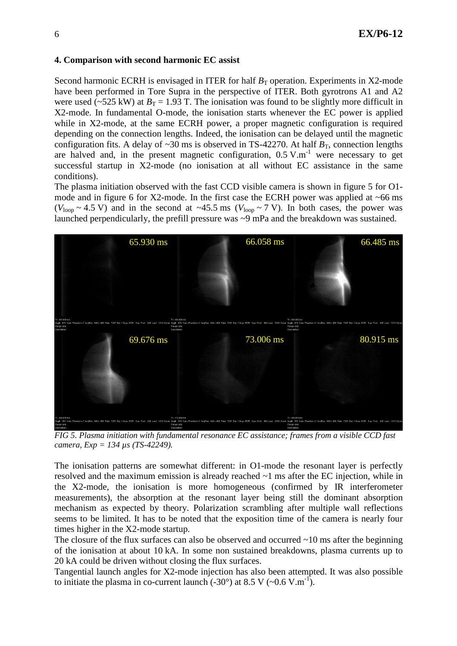### **4. Comparison with second harmonic EC assist**

Second harmonic ECRH is envisaged in ITER for half  $B<sub>T</sub>$  operation. Experiments in X2-mode have been performed in Tore Supra in the perspective of ITER. Both gyrotrons A1 and A2 were used ( $\sim$ 525 kW) at  $B_T$  = 1.93 T. The ionisation was found to be slightly more difficult in X2-mode. In fundamental O-mode, the ionisation starts whenever the EC power is applied while in X2-mode, at the same ECRH power, a proper magnetic configuration is required depending on the connection lengths. Indeed, the ionisation can be delayed until the magnetic configuration fits. A delay of  $\sim$ 30 ms is observed in TS-42270. At half  $B_T$ , connection lengths are halved and, in the present magnetic configuration,  $0.5 V.m^{-1}$  were necessary to get successful startup in X2-mode (no ionisation at all without EC assistance in the same conditions).

The plasma initiation observed with the fast CCD visible camera is shown in figure 5 for O1 mode and in figure 6 for X2-mode. In the first case the ECRH power was applied at  $~66 \text{ ms}$  $(V_{\text{loop}} \sim 4.5 \text{ V})$  and in the second at ~45.5 ms  $(V_{\text{loop}} \sim 7 \text{ V})$ . In both cases, the power was launched perpendicularly, the prefill pressure was ~9 mPa and the breakdown was sustained.



*FIG 5. Plasma initiation with fundamental resonance EC assistance; frames from a visible CCD fast camera, Exp = 134 µs (TS-42249).* 

The ionisation patterns are somewhat different: in O1-mode the resonant layer is perfectly resolved and the maximum emission is already reached ~1 ms after the EC injection, while in the X2-mode, the ionisation is more homogeneous (confirmed by IR interferometer measurements), the absorption at the resonant layer being still the dominant absorption mechanism as expected by theory. Polarization scrambling after multiple wall reflections seems to be limited. It has to be noted that the exposition time of the camera is nearly four times higher in the X2-mode startup.

The closure of the flux surfaces can also be observed and occurred  $\sim$ 10 ms after the beginning of the ionisation at about 10 kA. In some non sustained breakdowns, plasma currents up to 20 kA could be driven without closing the flux surfaces.

Tangential launch angles for X2-mode injection has also been attempted. It was also possible to initiate the plasma in co-current launch  $(-30^{\circ})$  at 8.5 V  $(-0.6 \text{ V.m}^{-1})$ .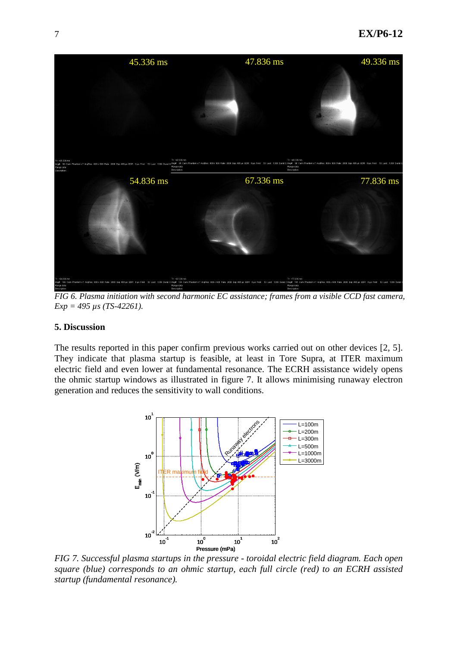

*FIG 6. Plasma initiation with second harmonic EC assistance; frames from a visible CCD fast camera, Exp = 495 µs (TS-42261).* 

#### **5. Discussion**

The results reported in this paper confirm previous works carried out on other devices [2, 5]. They indicate that plasma startup is feasible, at least in Tore Supra, at ITER maximum electric field and even lower at fundamental resonance. The ECRH assistance widely opens the ohmic startup windows as illustrated in figure 7. It allows minimising runaway electron generation and reduces the sensitivity to wall conditions.



*FIG 7. Successful plasma startups in the pressure - toroidal electric field diagram. Each open square (blue) corresponds to an ohmic startup, each full circle (red) to an ECRH assisted startup (fundamental resonance).*